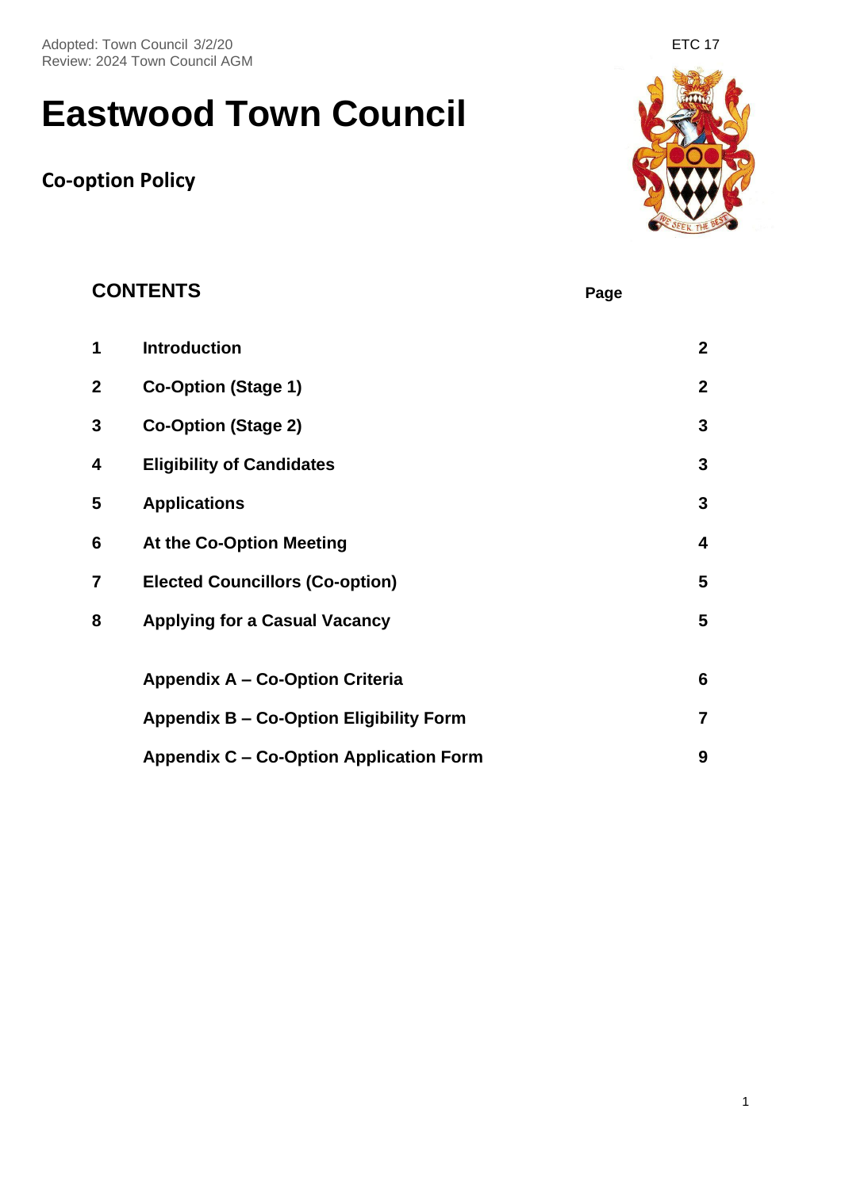Adopted: Town Council 3/2/20 **ETC 17** Adopted: Town Council 3/2/20 Review: 2024 Town Council AGM

# **Eastwood Town Council**

# **Co-option Policy**



|   | <b>CONTENTS</b>                                | Page |                  |
|---|------------------------------------------------|------|------------------|
| 1 | <b>Introduction</b>                            |      | $\boldsymbol{2}$ |
| 2 | <b>Co-Option (Stage 1)</b>                     |      | $\boldsymbol{2}$ |
| 3 | <b>Co-Option (Stage 2)</b>                     |      | $\mathbf 3$      |
| 4 | <b>Eligibility of Candidates</b>               |      | 3                |
| 5 | <b>Applications</b>                            |      | $\mathbf{3}$     |
| 6 | At the Co-Option Meeting                       |      | 4                |
| 7 | <b>Elected Councillors (Co-option)</b>         |      | 5                |
| 8 | <b>Applying for a Casual Vacancy</b>           |      | 5                |
|   | <b>Appendix A - Co-Option Criteria</b>         |      | $6\phantom{1}$   |
|   | <b>Appendix B - Co-Option Eligibility Form</b> |      | $\overline{7}$   |
|   | <b>Appendix C - Co-Option Application Form</b> |      | 9                |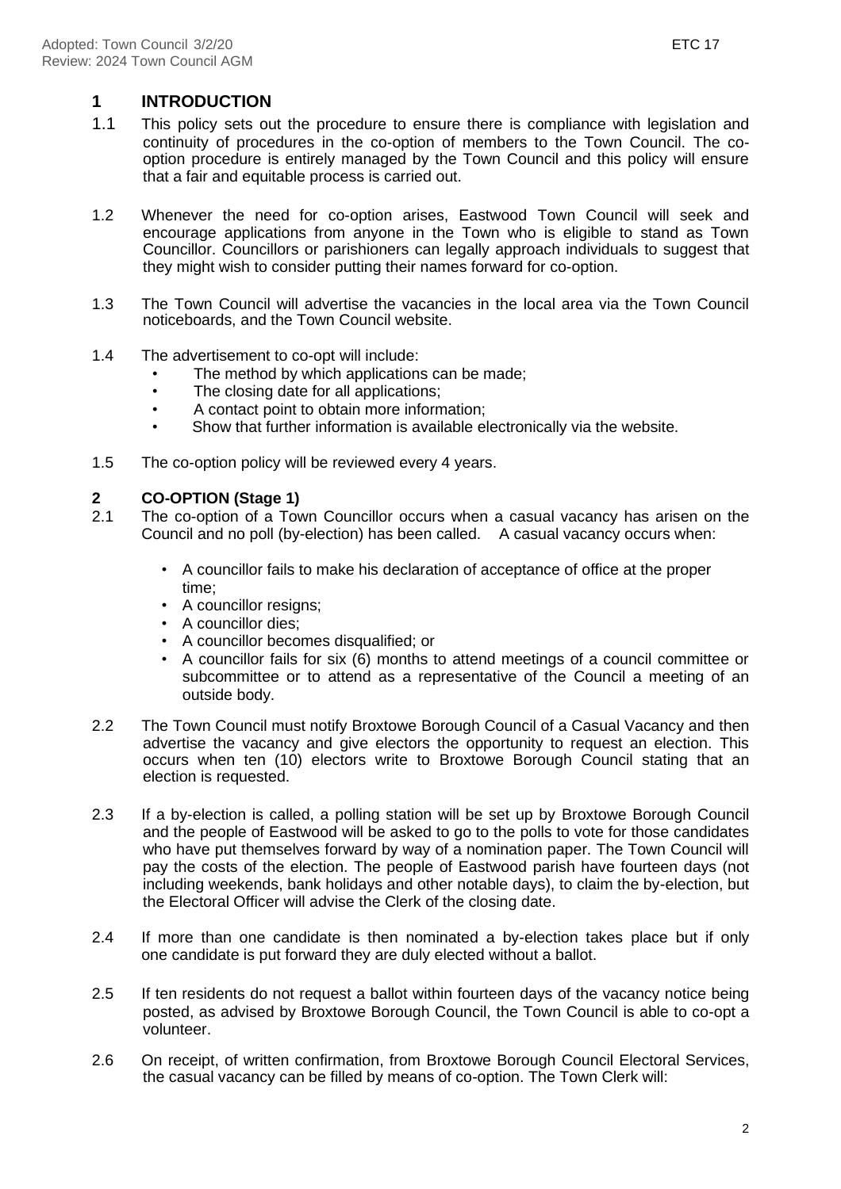### **1 INTRODUCTION**

- 1.1 This policy sets out the procedure to ensure there is compliance with legislation and continuity of procedures in the co-option of members to the Town Council. The cooption procedure is entirely managed by the Town Council and this policy will ensure that a fair and equitable process is carried out.
- 1.2 Whenever the need for co-option arises, Eastwood Town Council will seek and encourage applications from anyone in the Town who is eligible to stand as Town Councillor. Councillors or parishioners can legally approach individuals to suggest that they might wish to consider putting their names forward for co-option.
- 1.3 The Town Council will advertise the vacancies in the local area via the Town Council noticeboards, and the Town Council website.
- 1.4 The advertisement to co-opt will include:
	- The method by which applications can be made;
	- The closing date for all applications;
	- A contact point to obtain more information;
	- Show that further information is available electronically via the website.
- 1.5 The co-option policy will be reviewed every 4 years.

#### **2 CO-OPTION (Stage 1)**

- 2.1 The co-option of a Town Councillor occurs when a casual vacancy has arisen on the Council and no poll (by-election) has been called. A casual vacancy occurs when:
	- A councillor fails to make his declaration of acceptance of office at the proper time;
	- A councillor resigns;
	- A councillor dies;
	- A councillor becomes disqualified; or
	- A councillor fails for six (6) months to attend meetings of a council committee or subcommittee or to attend as a representative of the Council a meeting of an outside body.
- 2.2 The Town Council must notify Broxtowe Borough Council of a Casual Vacancy and then advertise the vacancy and give electors the opportunity to request an election. This occurs when ten (10) electors write to Broxtowe Borough Council stating that an election is requested.
- 2.3 If a by-election is called, a polling station will be set up by Broxtowe Borough Council and the people of Eastwood will be asked to go to the polls to vote for those candidates who have put themselves forward by way of a nomination paper. The Town Council will pay the costs of the election. The people of Eastwood parish have fourteen days (not including weekends, bank holidays and other notable days), to claim the by-election, but the Electoral Officer will advise the Clerk of the closing date.
- 2.4 If more than one candidate is then nominated a by-election takes place but if only one candidate is put forward they are duly elected without a ballot.
- 2.5 If ten residents do not request a ballot within fourteen days of the vacancy notice being posted, as advised by Broxtowe Borough Council, the Town Council is able to co-opt a volunteer.
- 2.6 On receipt, of written confirmation, from Broxtowe Borough Council Electoral Services, the casual vacancy can be filled by means of co-option. The Town Clerk will: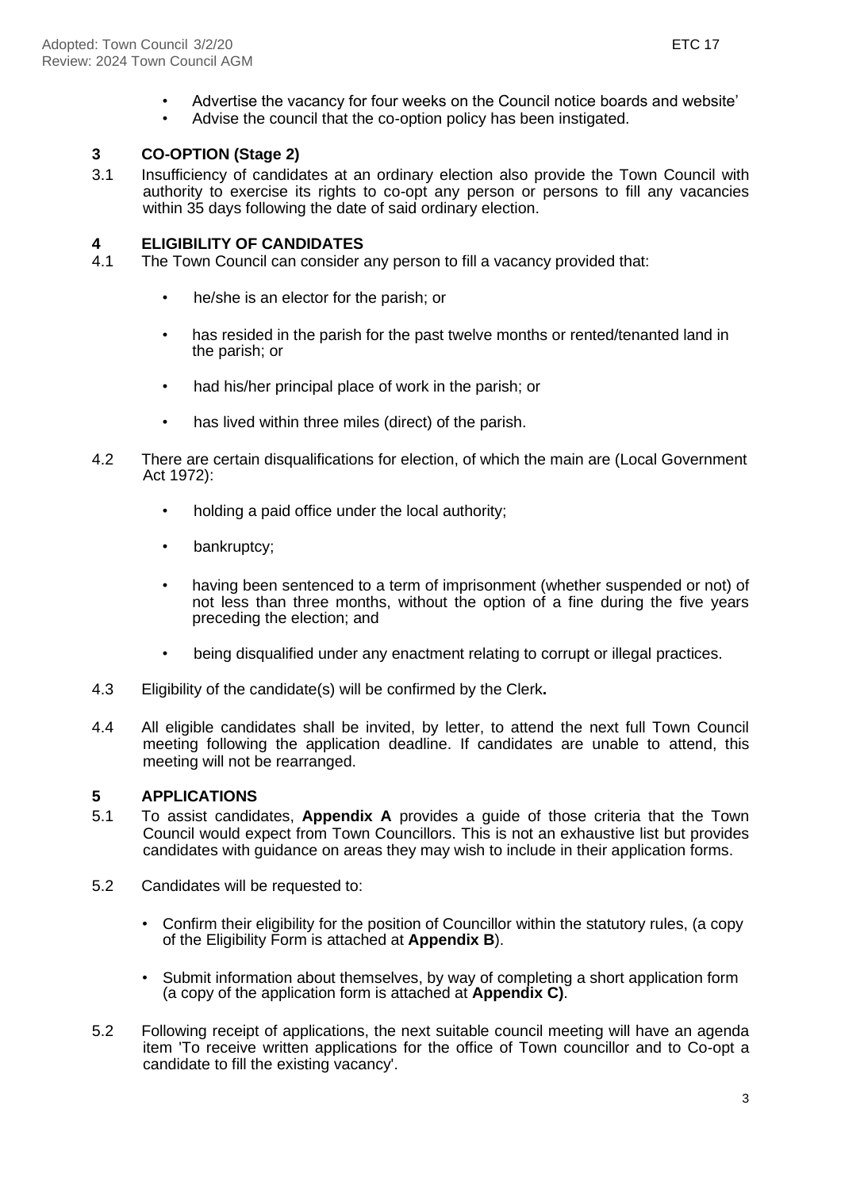- Advertise the vacancy for four weeks on the Council notice boards and website'<br>• Advise the council that the co-ontion policy has been instigated
- Advise the council that the co-option policy has been instigated.

#### **3 CO-OPTION (Stage 2)**

3.1 Insufficiency of candidates at an ordinary election also provide the Town Council with authority to exercise its rights to co-opt any person or persons to fill any vacancies within 35 days following the date of said ordinary election.

# **4 ELIGIBILITY OF CANDIDATES**

- The Town Council can consider any person to fill a vacancy provided that:
	- he/she is an elector for the parish; or
	- has resided in the parish for the past twelve months or rented/tenanted land in the parish; or
	- had his/her principal place of work in the parish; or
	- has lived within three miles (direct) of the parish.
- 4.2 There are certain disqualifications for election, of which the main are (Local Government Act 1972):
	- holding a paid office under the local authority;
	- bankruptcy;
	- having been sentenced to a term of imprisonment (whether suspended or not) of not less than three months, without the option of a fine during the five years preceding the election; and
	- being disqualified under any enactment relating to corrupt or illegal practices.
- 4.3 Eligibility of the candidate(s) will be confirmed by the Clerk**.**
- 4.4 All eligible candidates shall be invited, by letter, to attend the next full Town Council meeting following the application deadline. If candidates are unable to attend, this meeting will not be rearranged.

#### **5 APPLICATIONS**

- 5.1 To assist candidates, **Appendix A** provides a guide of those criteria that the Town Council would expect from Town Councillors. This is not an exhaustive list but provides candidates with guidance on areas they may wish to include in their application forms.
- 5.2 Candidates will be requested to:
	- Confirm their eligibility for the position of Councillor within the statutory rules, (a copy of the Eligibility Form is attached at **Appendix B**).
	- Submit information about themselves, by way of completing a short application form (a copy of the application form is attached at **Appendix C)**.
- 5.2 Following receipt of applications, the next suitable council meeting will have an agenda item 'To receive written applications for the office of Town councillor and to Co-opt a candidate to fill the existing vacancy'.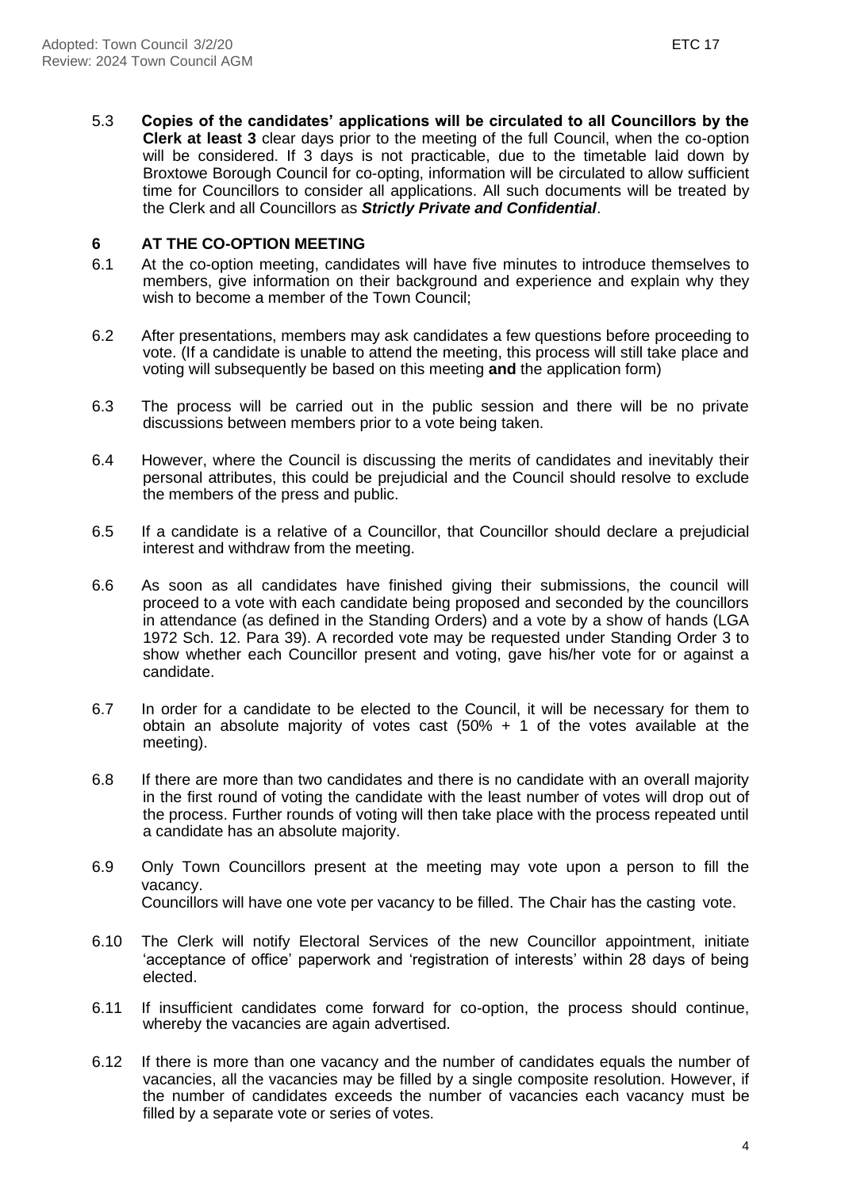5.3 **Copies of the candidates' applications will be circulated to all Councillors by the Clerk at least 3** clear days prior to the meeting of the full Council, when the co-option will be considered. If 3 days is not practicable, due to the timetable laid down by Broxtowe Borough Council for co-opting, information will be circulated to allow sufficient time for Councillors to consider all applications. All such documents will be treated by the Clerk and all Councillors as *Strictly Private and Confidential*.

#### **6 AT THE CO-OPTION MEETING**

- 6.1 At the co-option meeting, candidates will have five minutes to introduce themselves to members, give information on their background and experience and explain why they wish to become a member of the Town Council;
- 6.2 After presentations, members may ask candidates a few questions before proceeding to vote. (If a candidate is unable to attend the meeting, this process will still take place and voting will subsequently be based on this meeting **and** the application form)
- 6.3 The process will be carried out in the public session and there will be no private discussions between members prior to a vote being taken.
- 6.4 However, where the Council is discussing the merits of candidates and inevitably their personal attributes, this could be prejudicial and the Council should resolve to exclude the members of the press and public.
- 6.5 If a candidate is a relative of a Councillor, that Councillor should declare a prejudicial interest and withdraw from the meeting.
- 6.6 As soon as all candidates have finished giving their submissions, the council will proceed to a vote with each candidate being proposed and seconded by the councillors in attendance (as defined in the Standing Orders) and a vote by a show of hands (LGA 1972 Sch. 12. Para 39). A recorded vote may be requested under Standing Order 3 to show whether each Councillor present and voting, gave his/her vote for or against a candidate.
- 6.7 In order for a candidate to be elected to the Council, it will be necessary for them to obtain an absolute majority of votes cast  $(50% + 1)$  of the votes available at the meeting).
- 6.8 If there are more than two candidates and there is no candidate with an overall majority in the first round of voting the candidate with the least number of votes will drop out of the process. Further rounds of voting will then take place with the process repeated until a candidate has an absolute majority.
- 6.9 Only Town Councillors present at the meeting may vote upon a person to fill the vacancy. Councillors will have one vote per vacancy to be filled. The Chair has the casting vote.
- 6.10 The Clerk will notify Electoral Services of the new Councillor appointment, initiate 'acceptance of office' paperwork and 'registration of interests' within 28 days of being elected.
- 6.11 If insufficient candidates come forward for co-option, the process should continue, whereby the vacancies are again advertised.
- 6.12 If there is more than one vacancy and the number of candidates equals the number of vacancies, all the vacancies may be filled by a single composite resolution. However, if the number of candidates exceeds the number of vacancies each vacancy must be filled by a separate vote or series of votes.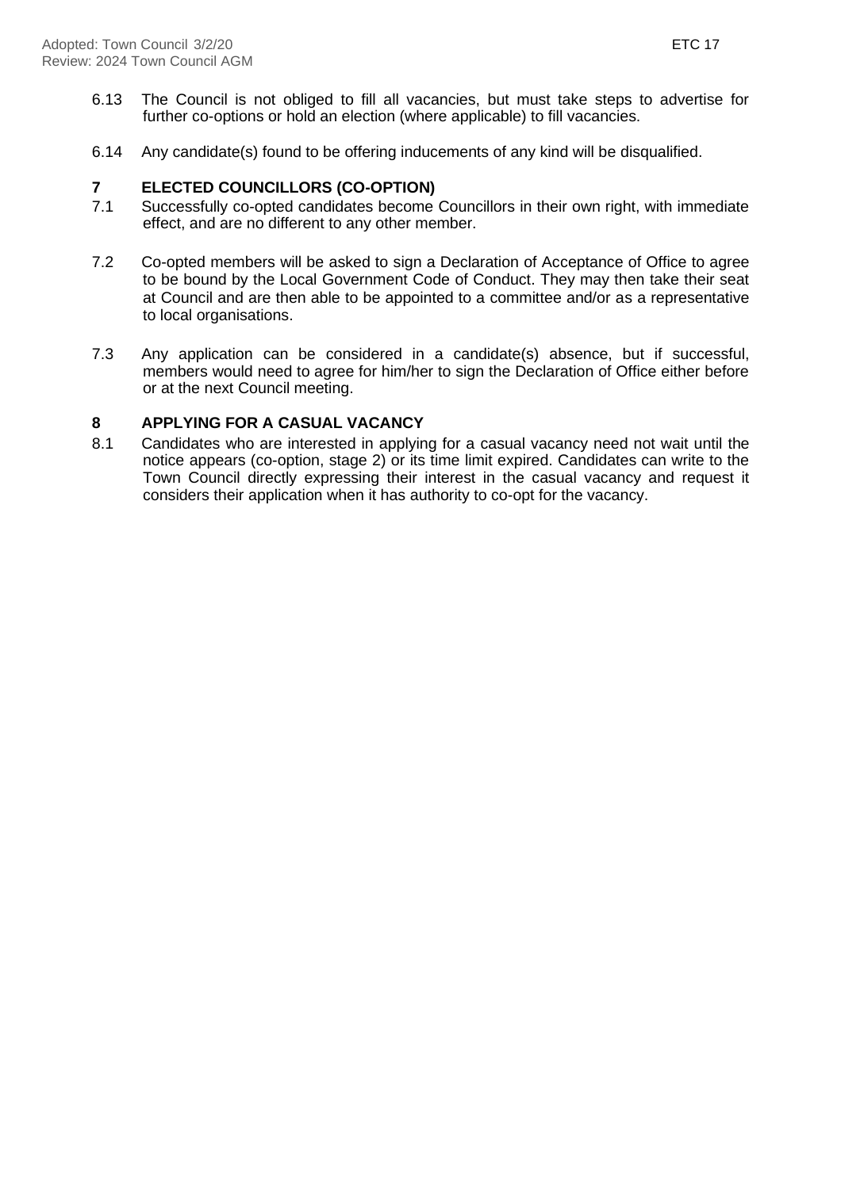- 6.13 The Council is not obliged to fill all vacancies, but must take steps to advertise for further co-options or hold an election (where applicable) to fill vacancies.
- 6.14 Any candidate(s) found to be offering inducements of any kind will be disqualified.

#### **7 ELECTED COUNCILLORS (CO-OPTION)**

- 7.1 Successfully co-opted candidates become Councillors in their own right, with immediate effect, and are no different to any other member.
- 7.2 Co-opted members will be asked to sign a Declaration of Acceptance of Office to agree to be bound by the Local Government Code of Conduct. They may then take their seat at Council and are then able to be appointed to a committee and/or as a representative to local organisations.
- 7.3 Any application can be considered in a candidate(s) absence, but if successful, members would need to agree for him/her to sign the Declaration of Office either before or at the next Council meeting.

#### **8 APPLYING FOR A CASUAL VACANCY**

8.1 Candidates who are interested in applying for a casual vacancy need not wait until the notice appears (co-option, stage 2) or its time limit expired. Candidates can write to the Town Council directly expressing their interest in the casual vacancy and request it considers their application when it has authority to co-opt for the vacancy.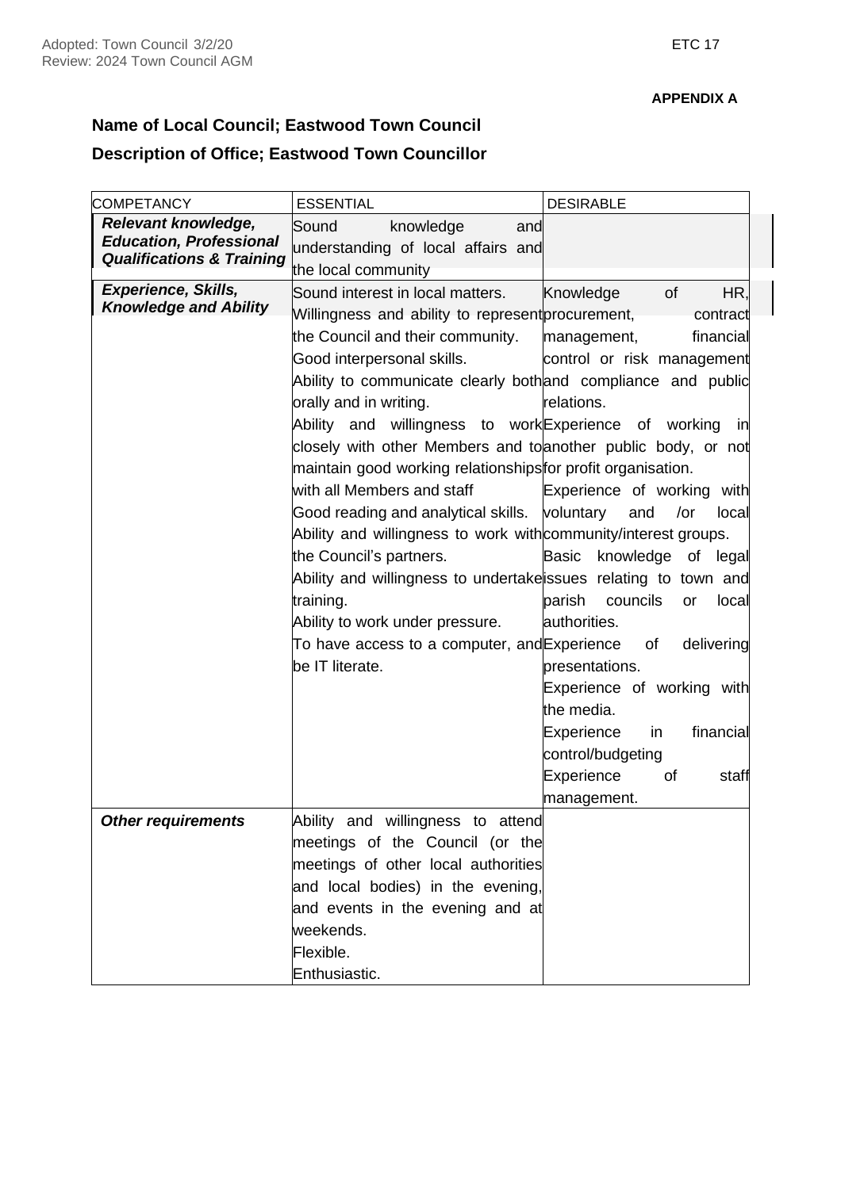### **Name of Local Council; Eastwood Town Council**

# **Description of Office; Eastwood Town Councillor**

| Relevant knowledge,<br>Sound<br>knowledge<br>and<br><b>Education, Professional</b><br>understanding of local affairs and<br><b>Qualifications &amp; Training</b><br>the local community<br><b>Experience, Skills,</b><br>Sound interest in local matters.<br>Knowledge<br><b>of</b><br>HR,<br><b>Knowledge and Ability</b><br>Willingness and ability to represent procurement,<br>contract<br>the Council and their community.<br>financial<br>management,<br>Good interpersonal skills.<br>control or risk management<br>Ability to communicate clearly bothand compliance and public<br>orally and in writing.<br>relations.<br>Ability and willingness to work Experience of working in<br>closely with other Members and to another public body, or not<br>maintain good working relationships for profit organisation.<br>with all Members and staff<br>Experience of working with<br>Good reading and analytical skills.<br>voluntary<br>and<br>/or<br>local<br>Ability and willingness to work with community/interest groups.<br>the Council's partners.<br>Basic<br>knowledge of<br>legal<br>Ability and willingness to undertake issues relating to town and<br>training.<br>parish<br>councils<br>or<br>local<br>Ability to work under pressure.<br>authorities.<br>delivering<br>To have access to a computer, and Experience<br>of<br>be IT literate.<br>presentations.<br>Experience of working with<br>the media.<br>Experience<br>financial<br>in.<br>control/budgeting<br>Experience<br>οf<br>staff<br>management.<br>Ability and willingness to attend<br><b>Other requirements</b><br>meetings of the Council (or the<br>meetings of other local authorities<br>and local bodies) in the evening,<br>and events in the evening and at<br>weekends. | <b>COMPETANCY</b> | <b>ESSENTIAL</b> | <b>DESIRABLE</b> |
|------------------------------------------------------------------------------------------------------------------------------------------------------------------------------------------------------------------------------------------------------------------------------------------------------------------------------------------------------------------------------------------------------------------------------------------------------------------------------------------------------------------------------------------------------------------------------------------------------------------------------------------------------------------------------------------------------------------------------------------------------------------------------------------------------------------------------------------------------------------------------------------------------------------------------------------------------------------------------------------------------------------------------------------------------------------------------------------------------------------------------------------------------------------------------------------------------------------------------------------------------------------------------------------------------------------------------------------------------------------------------------------------------------------------------------------------------------------------------------------------------------------------------------------------------------------------------------------------------------------------------------------------------------------------------------------------------------------------------------------------------------------------|-------------------|------------------|------------------|
|                                                                                                                                                                                                                                                                                                                                                                                                                                                                                                                                                                                                                                                                                                                                                                                                                                                                                                                                                                                                                                                                                                                                                                                                                                                                                                                                                                                                                                                                                                                                                                                                                                                                                                                                                                        |                   |                  |                  |
|                                                                                                                                                                                                                                                                                                                                                                                                                                                                                                                                                                                                                                                                                                                                                                                                                                                                                                                                                                                                                                                                                                                                                                                                                                                                                                                                                                                                                                                                                                                                                                                                                                                                                                                                                                        |                   |                  |                  |
|                                                                                                                                                                                                                                                                                                                                                                                                                                                                                                                                                                                                                                                                                                                                                                                                                                                                                                                                                                                                                                                                                                                                                                                                                                                                                                                                                                                                                                                                                                                                                                                                                                                                                                                                                                        |                   |                  |                  |
|                                                                                                                                                                                                                                                                                                                                                                                                                                                                                                                                                                                                                                                                                                                                                                                                                                                                                                                                                                                                                                                                                                                                                                                                                                                                                                                                                                                                                                                                                                                                                                                                                                                                                                                                                                        |                   |                  |                  |
|                                                                                                                                                                                                                                                                                                                                                                                                                                                                                                                                                                                                                                                                                                                                                                                                                                                                                                                                                                                                                                                                                                                                                                                                                                                                                                                                                                                                                                                                                                                                                                                                                                                                                                                                                                        |                   |                  |                  |
|                                                                                                                                                                                                                                                                                                                                                                                                                                                                                                                                                                                                                                                                                                                                                                                                                                                                                                                                                                                                                                                                                                                                                                                                                                                                                                                                                                                                                                                                                                                                                                                                                                                                                                                                                                        |                   |                  |                  |
|                                                                                                                                                                                                                                                                                                                                                                                                                                                                                                                                                                                                                                                                                                                                                                                                                                                                                                                                                                                                                                                                                                                                                                                                                                                                                                                                                                                                                                                                                                                                                                                                                                                                                                                                                                        |                   |                  |                  |
|                                                                                                                                                                                                                                                                                                                                                                                                                                                                                                                                                                                                                                                                                                                                                                                                                                                                                                                                                                                                                                                                                                                                                                                                                                                                                                                                                                                                                                                                                                                                                                                                                                                                                                                                                                        |                   |                  |                  |
|                                                                                                                                                                                                                                                                                                                                                                                                                                                                                                                                                                                                                                                                                                                                                                                                                                                                                                                                                                                                                                                                                                                                                                                                                                                                                                                                                                                                                                                                                                                                                                                                                                                                                                                                                                        |                   |                  |                  |
|                                                                                                                                                                                                                                                                                                                                                                                                                                                                                                                                                                                                                                                                                                                                                                                                                                                                                                                                                                                                                                                                                                                                                                                                                                                                                                                                                                                                                                                                                                                                                                                                                                                                                                                                                                        |                   |                  |                  |
|                                                                                                                                                                                                                                                                                                                                                                                                                                                                                                                                                                                                                                                                                                                                                                                                                                                                                                                                                                                                                                                                                                                                                                                                                                                                                                                                                                                                                                                                                                                                                                                                                                                                                                                                                                        |                   |                  |                  |
|                                                                                                                                                                                                                                                                                                                                                                                                                                                                                                                                                                                                                                                                                                                                                                                                                                                                                                                                                                                                                                                                                                                                                                                                                                                                                                                                                                                                                                                                                                                                                                                                                                                                                                                                                                        |                   |                  |                  |
|                                                                                                                                                                                                                                                                                                                                                                                                                                                                                                                                                                                                                                                                                                                                                                                                                                                                                                                                                                                                                                                                                                                                                                                                                                                                                                                                                                                                                                                                                                                                                                                                                                                                                                                                                                        |                   |                  |                  |
|                                                                                                                                                                                                                                                                                                                                                                                                                                                                                                                                                                                                                                                                                                                                                                                                                                                                                                                                                                                                                                                                                                                                                                                                                                                                                                                                                                                                                                                                                                                                                                                                                                                                                                                                                                        |                   |                  |                  |
|                                                                                                                                                                                                                                                                                                                                                                                                                                                                                                                                                                                                                                                                                                                                                                                                                                                                                                                                                                                                                                                                                                                                                                                                                                                                                                                                                                                                                                                                                                                                                                                                                                                                                                                                                                        |                   |                  |                  |
|                                                                                                                                                                                                                                                                                                                                                                                                                                                                                                                                                                                                                                                                                                                                                                                                                                                                                                                                                                                                                                                                                                                                                                                                                                                                                                                                                                                                                                                                                                                                                                                                                                                                                                                                                                        |                   |                  |                  |
|                                                                                                                                                                                                                                                                                                                                                                                                                                                                                                                                                                                                                                                                                                                                                                                                                                                                                                                                                                                                                                                                                                                                                                                                                                                                                                                                                                                                                                                                                                                                                                                                                                                                                                                                                                        |                   |                  |                  |
|                                                                                                                                                                                                                                                                                                                                                                                                                                                                                                                                                                                                                                                                                                                                                                                                                                                                                                                                                                                                                                                                                                                                                                                                                                                                                                                                                                                                                                                                                                                                                                                                                                                                                                                                                                        |                   |                  |                  |
|                                                                                                                                                                                                                                                                                                                                                                                                                                                                                                                                                                                                                                                                                                                                                                                                                                                                                                                                                                                                                                                                                                                                                                                                                                                                                                                                                                                                                                                                                                                                                                                                                                                                                                                                                                        |                   |                  |                  |
|                                                                                                                                                                                                                                                                                                                                                                                                                                                                                                                                                                                                                                                                                                                                                                                                                                                                                                                                                                                                                                                                                                                                                                                                                                                                                                                                                                                                                                                                                                                                                                                                                                                                                                                                                                        |                   |                  |                  |
|                                                                                                                                                                                                                                                                                                                                                                                                                                                                                                                                                                                                                                                                                                                                                                                                                                                                                                                                                                                                                                                                                                                                                                                                                                                                                                                                                                                                                                                                                                                                                                                                                                                                                                                                                                        |                   |                  |                  |
|                                                                                                                                                                                                                                                                                                                                                                                                                                                                                                                                                                                                                                                                                                                                                                                                                                                                                                                                                                                                                                                                                                                                                                                                                                                                                                                                                                                                                                                                                                                                                                                                                                                                                                                                                                        |                   |                  |                  |
|                                                                                                                                                                                                                                                                                                                                                                                                                                                                                                                                                                                                                                                                                                                                                                                                                                                                                                                                                                                                                                                                                                                                                                                                                                                                                                                                                                                                                                                                                                                                                                                                                                                                                                                                                                        |                   |                  |                  |
|                                                                                                                                                                                                                                                                                                                                                                                                                                                                                                                                                                                                                                                                                                                                                                                                                                                                                                                                                                                                                                                                                                                                                                                                                                                                                                                                                                                                                                                                                                                                                                                                                                                                                                                                                                        |                   |                  |                  |
|                                                                                                                                                                                                                                                                                                                                                                                                                                                                                                                                                                                                                                                                                                                                                                                                                                                                                                                                                                                                                                                                                                                                                                                                                                                                                                                                                                                                                                                                                                                                                                                                                                                                                                                                                                        |                   |                  |                  |
|                                                                                                                                                                                                                                                                                                                                                                                                                                                                                                                                                                                                                                                                                                                                                                                                                                                                                                                                                                                                                                                                                                                                                                                                                                                                                                                                                                                                                                                                                                                                                                                                                                                                                                                                                                        |                   |                  |                  |
|                                                                                                                                                                                                                                                                                                                                                                                                                                                                                                                                                                                                                                                                                                                                                                                                                                                                                                                                                                                                                                                                                                                                                                                                                                                                                                                                                                                                                                                                                                                                                                                                                                                                                                                                                                        |                   |                  |                  |
|                                                                                                                                                                                                                                                                                                                                                                                                                                                                                                                                                                                                                                                                                                                                                                                                                                                                                                                                                                                                                                                                                                                                                                                                                                                                                                                                                                                                                                                                                                                                                                                                                                                                                                                                                                        |                   |                  |                  |
|                                                                                                                                                                                                                                                                                                                                                                                                                                                                                                                                                                                                                                                                                                                                                                                                                                                                                                                                                                                                                                                                                                                                                                                                                                                                                                                                                                                                                                                                                                                                                                                                                                                                                                                                                                        |                   |                  |                  |
|                                                                                                                                                                                                                                                                                                                                                                                                                                                                                                                                                                                                                                                                                                                                                                                                                                                                                                                                                                                                                                                                                                                                                                                                                                                                                                                                                                                                                                                                                                                                                                                                                                                                                                                                                                        |                   | Flexible.        |                  |
| Enthusiastic.                                                                                                                                                                                                                                                                                                                                                                                                                                                                                                                                                                                                                                                                                                                                                                                                                                                                                                                                                                                                                                                                                                                                                                                                                                                                                                                                                                                                                                                                                                                                                                                                                                                                                                                                                          |                   |                  |                  |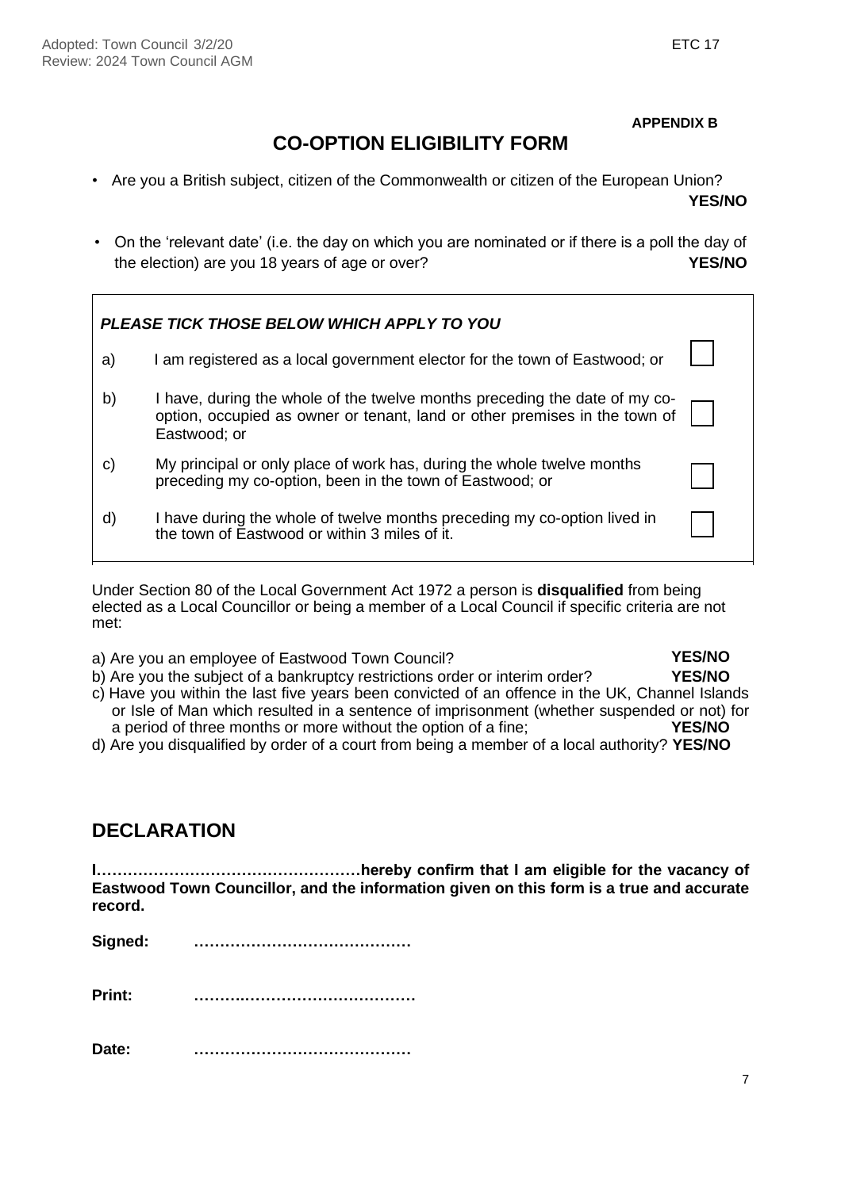**APPENDIX B**

# **CO-OPTION ELIGIBILITY FORM**

- Are you a British subject, citizen of the Commonwealth or citizen of the European Union? **YES/NO**
- On the 'relevant date' (i.e. the day on which you are nominated or if there is a poll the day of the election) are you 18 years of age or over? **YES/NO**

|    | <b>PLEASE TICK THOSE BELOW WHICH APPLY TO YOU</b>                                                                                                                        |  |
|----|--------------------------------------------------------------------------------------------------------------------------------------------------------------------------|--|
| a) | I am registered as a local government elector for the town of Eastwood; or                                                                                               |  |
| b) | I have, during the whole of the twelve months preceding the date of my co-<br>option, occupied as owner or tenant, land or other premises in the town of<br>Eastwood; or |  |
| C) | My principal or only place of work has, during the whole twelve months<br>preceding my co-option, been in the town of Eastwood; or                                       |  |
| d) | I have during the whole of twelve months preceding my co-option lived in<br>the town of Eastwood or within 3 miles of it.                                                |  |

Under Section 80 of the Local Government Act 1972 a person is **disqualified** from being elected as a Local Councillor or being a member of a Local Council if specific criteria are not met:

- a) Are you an employee of Eastwood Town Council?<br>
b) Are you the subiect of a bankruptcy restrictions order or interim order? **YES/NO** b) Are you the subject of a bankruptcy restrictions order or interim order?
- c) Have you within the last five years been convicted of an offence in the UK, Channel Islands or Isle of Man which resulted in a sentence of imprisonment (whether suspended or not) for a period of three months or more without the option of a fine: YES/NO a period of three months or more without the option of a fine;
- d) Are you disqualified by order of a court from being a member of a local authority? **YES/NO**

# **DECLARATION**

**I……………………………………………hereby confirm that I am eligible for the vacancy of Eastwood Town Councillor, and the information given on this form is a true and accurate record.**

| Signed: |  |
|---------|--|
|---------|--|

**Print: ……….……………………………**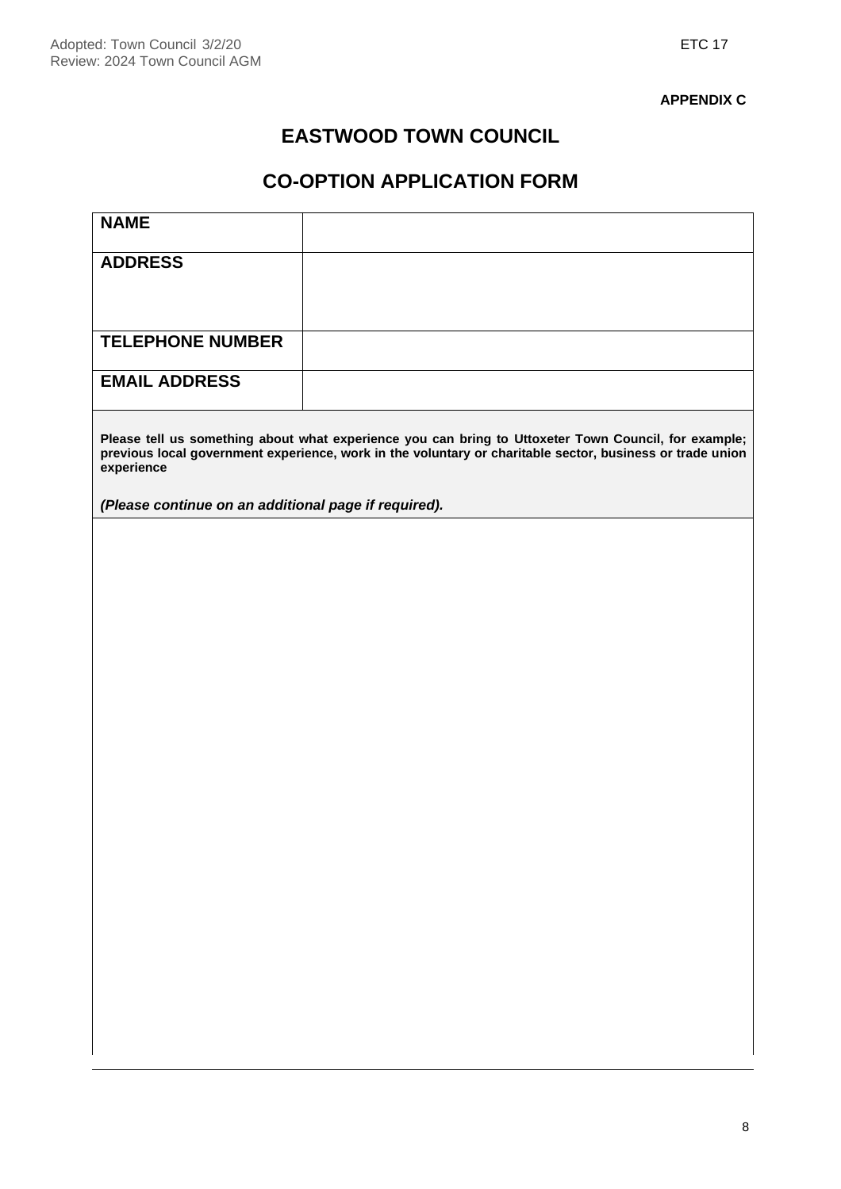#### **APPENDIX C**

# **EASTWOOD TOWN COUNCIL**

# **CO-OPTION APPLICATION FORM**

| <b>ADDRESS</b><br><b>TELEPHONE NUMBER</b><br><b>EMAIL ADDRESS</b><br>Please tell us something about what experience you can bring to Uttoxeter Town Council, for example;<br>previous local government experience, work in the voluntary or charitable sector, business or trade union<br>experience<br>(Please continue on an additional page if required). |
|--------------------------------------------------------------------------------------------------------------------------------------------------------------------------------------------------------------------------------------------------------------------------------------------------------------------------------------------------------------|
|                                                                                                                                                                                                                                                                                                                                                              |
|                                                                                                                                                                                                                                                                                                                                                              |
|                                                                                                                                                                                                                                                                                                                                                              |
|                                                                                                                                                                                                                                                                                                                                                              |
|                                                                                                                                                                                                                                                                                                                                                              |
|                                                                                                                                                                                                                                                                                                                                                              |
|                                                                                                                                                                                                                                                                                                                                                              |
|                                                                                                                                                                                                                                                                                                                                                              |
|                                                                                                                                                                                                                                                                                                                                                              |
|                                                                                                                                                                                                                                                                                                                                                              |
|                                                                                                                                                                                                                                                                                                                                                              |
|                                                                                                                                                                                                                                                                                                                                                              |
|                                                                                                                                                                                                                                                                                                                                                              |
|                                                                                                                                                                                                                                                                                                                                                              |
|                                                                                                                                                                                                                                                                                                                                                              |
|                                                                                                                                                                                                                                                                                                                                                              |
|                                                                                                                                                                                                                                                                                                                                                              |
|                                                                                                                                                                                                                                                                                                                                                              |
|                                                                                                                                                                                                                                                                                                                                                              |
|                                                                                                                                                                                                                                                                                                                                                              |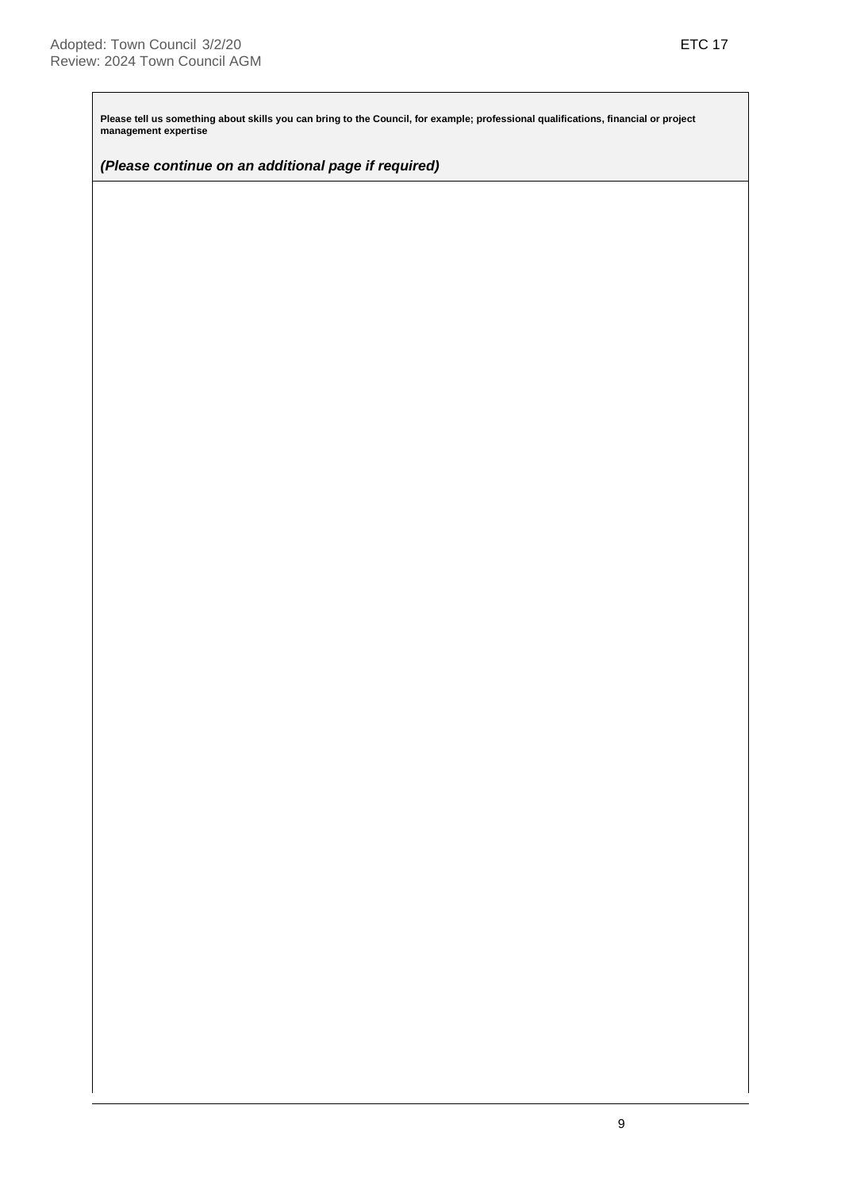**Please tell us something about skills you can bring to the Council, for example; professional qualifications, financial or project management expertise**

*(Please continue on an additional page if required)*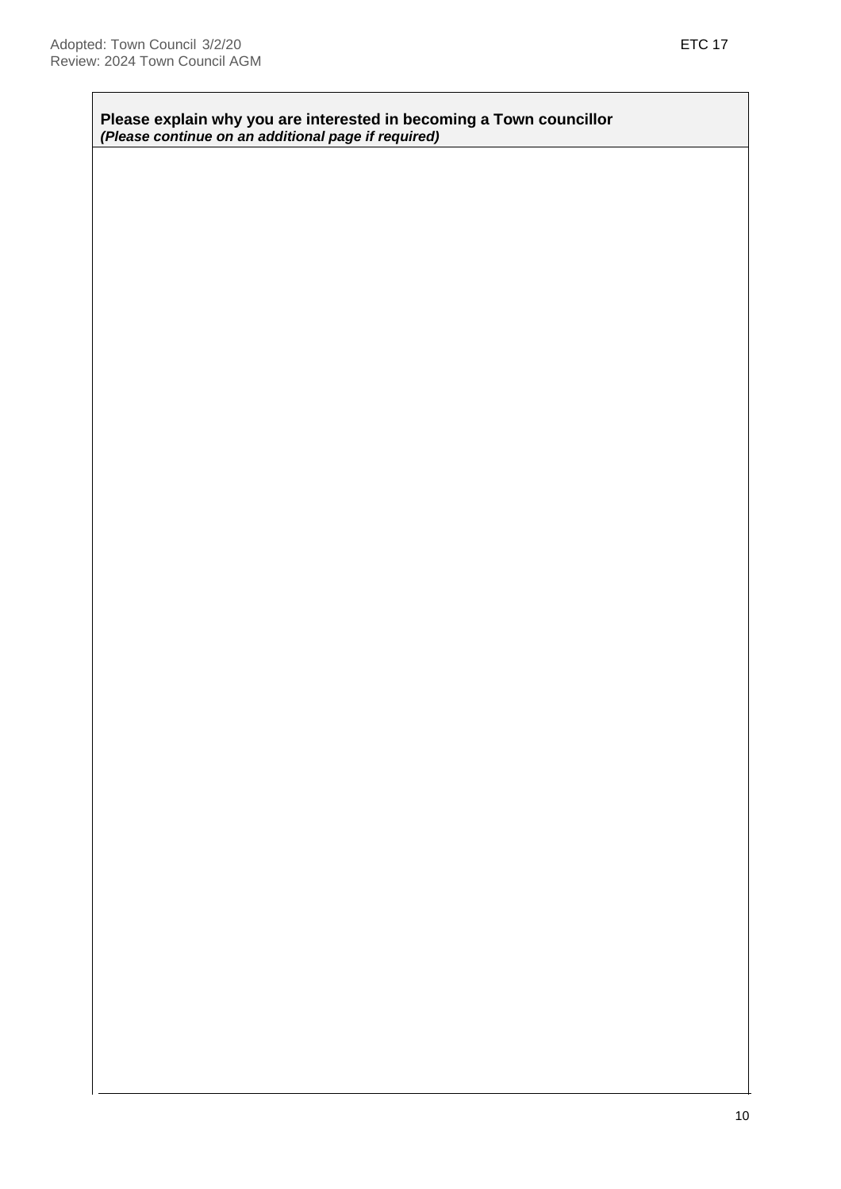**Please explain why you are interested in becoming a Town councillor**  *(Please continue on an additional page if required)*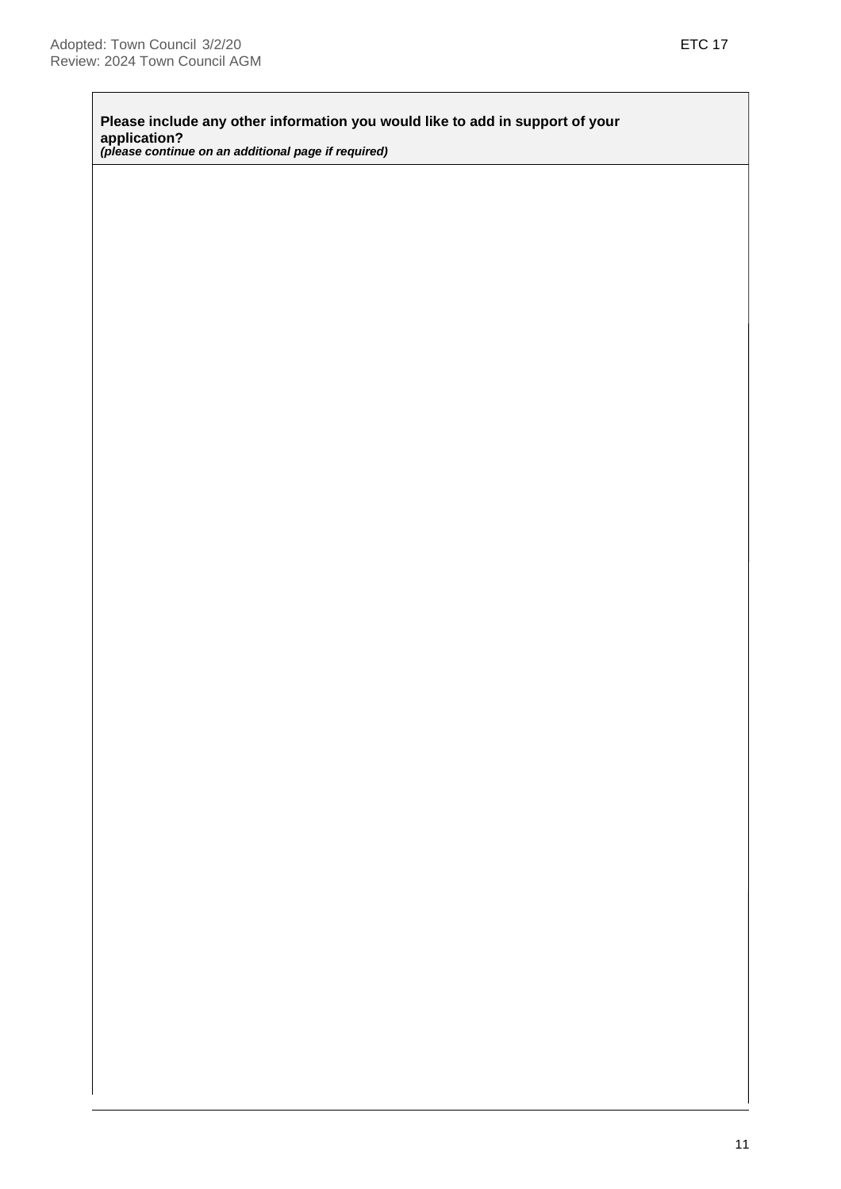**Please include any other information you would like to add in support of your application?** *(please continue on an additional page if required)*